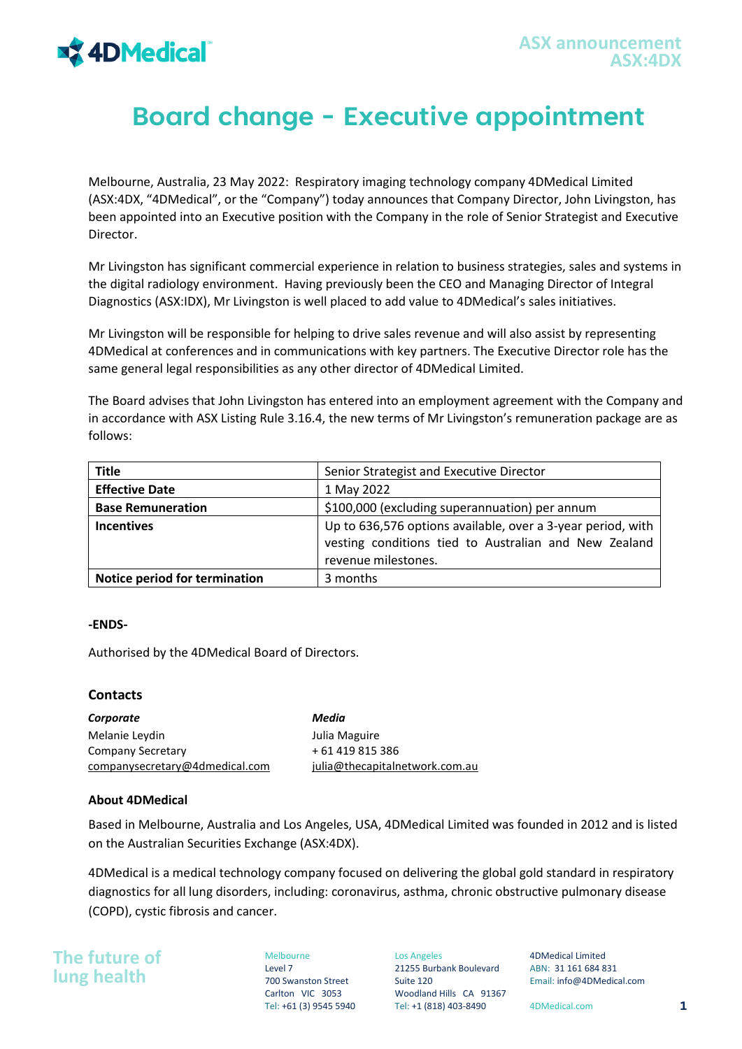

## **Board change - Executive appointment**

Melbourne, Australia, 23 May 2022: Respiratory imaging technology company 4DMedical Limited (ASX:4DX, "4DMedical", or the "Company") today announces that Company Director, John Livingston, has been appointed into an Executive position with the Company in the role of Senior Strategist and Executive Director.

Mr Livingston has significant commercial experience in relation to business strategies, sales and systems in the digital radiology environment. Having previously been the CEO and Managing Director of Integral Diagnostics (ASX:IDX), Mr Livingston is well placed to add value to 4DMedical's sales initiatives.

Mr Livingston will be responsible for helping to drive sales revenue and will also assist by representing 4DMedical at conferences and in communications with key partners. The Executive Director role has the same general legal responsibilities as any other director of 4DMedical Limited.

The Board advises that John Livingston has entered into an employment agreement with the Company and in accordance with ASX Listing Rule 3.16.4, the new terms of Mr Livingston's remuneration package are as follows:

| <b>Title</b>                  | Senior Strategist and Executive Director                    |
|-------------------------------|-------------------------------------------------------------|
| <b>Effective Date</b>         | 1 May 2022                                                  |
| <b>Base Remuneration</b>      | \$100,000 (excluding superannuation) per annum              |
| <b>Incentives</b>             | Up to 636,576 options available, over a 3-year period, with |
|                               | vesting conditions tied to Australian and New Zealand       |
|                               | revenue milestones.                                         |
| Notice period for termination | 3 months                                                    |

## **-ENDS-**

Authorised by the 4DMedical Board of Directors.

## **Contacts**

*Corporate* Melanie Leydin Company Secretary companysecretary@4dmedical.com *Media*  Julia Maguire + 61 419 815 386 julia@thecapitalnetwork.com.au

## **About 4DMedical**

Based in Melbourne, Australia and Los Angeles, USA, 4DMedical Limited was founded in 2012 and is listed on the Australian Securities Exchange (ASX:4DX).

4DMedical is a medical technology company focused on delivering the global gold standard in respiratory diagnostics for all lung disorders, including: coronavirus, asthma, chronic obstructive pulmonary disease (COPD), cystic fibrosis and cancer.

**The future of lung health**

Melbourne Level 7 700 Swanston Street Carlton VIC 3053

Los Angeles 21255 Burbank Boulevard Suite 120 Woodland Hills CA 91367 Tel: +61 (3) 9545 5940 Tel: +1 (818) 403-8490 4DMedical.com **1**

4DMedical Limited ABN: 31 161 684 831 Email: info@4DMedical.com